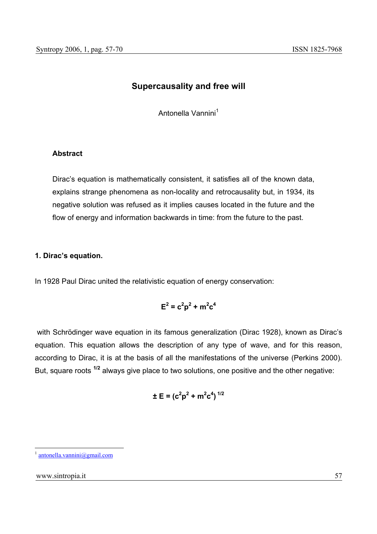# **Supercausality and free will**

Antonella Vannini<sup>1</sup>

### **Abstract**

Dirac's equation is mathematically consistent, it satisfies all of the known data, explains strange phenomena as non-locality and retrocausality but, in 1934, its negative solution was refused as it implies causes located in the future and the flow of energy and information backwards in time: from the future to the past.

#### **1. Dirac's equation.**

In 1928 Paul Dirac united the relativistic equation of energy conservation:

$$
\mathsf{E}^2 = \mathsf{c}^2 \mathsf{p}^2 + \mathsf{m}^2 \mathsf{c}^4
$$

 with Schrödinger wave equation in its famous generalization (Dirac 1928), known as Dirac's equation. This equation allows the description of any type of wave, and for this reason, according to Dirac, it is at the basis of all the manifestations of the universe (Perkins 2000). But, square roots **1/2** always give place to two solutions, one positive and the other negative:

$$
\pm E = (c^2p^2 + m^2c^4)^{1/2}
$$

 $antonella.vannini@gmail.com$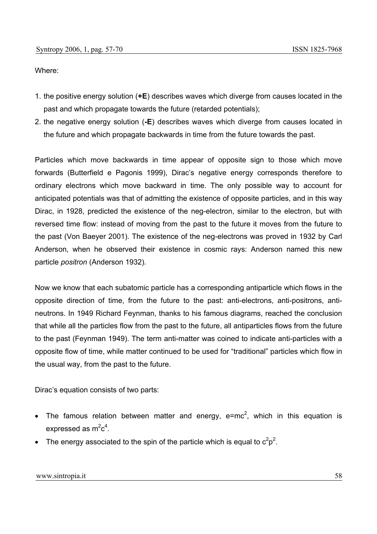Where:

- 1. the positive energy solution (**+E**) describes waves which diverge from causes located in the past and which propagate towards the future (retarded potentials);
- 2. the negative energy solution (**-E**) describes waves which diverge from causes located in the future and which propagate backwards in time from the future towards the past.

Particles which move backwards in time appear of opposite sign to those which move forwards (Butterfield e Pagonis 1999), Dirac's negative energy corresponds therefore to ordinary electrons which move backward in time. The only possible way to account for anticipated potentials was that of admitting the existence of opposite particles, and in this way Dirac, in 1928, predicted the existence of the neg-electron, similar to the electron, but with reversed time flow: instead of moving from the past to the future it moves from the future to the past (Von Baeyer 2001). The existence of the neg-electrons was proved in 1932 by Carl Anderson, when he observed their existence in cosmic rays: Anderson named this new particle *positron* (Anderson 1932)*.*

Now we know that each subatomic particle has a corresponding antiparticle which flows in the opposite direction of time, from the future to the past: anti-electrons, anti-positrons, antineutrons. In 1949 Richard Feynman, thanks to his famous diagrams, reached the conclusion that while all the particles flow from the past to the future, all antiparticles flows from the future to the past (Feynman 1949). The term anti-matter was coined to indicate anti-particles with a opposite flow of time, while matter continued to be used for "traditional" particles which flow in the usual way, from the past to the future.

Dirac's equation consists of two parts:

- The famous relation between matter and energy,  $e=mc^2$ , which in this equation is expressed as  $m^2c^4$ .
- The energy associated to the spin of the particle which is equal to  $c^2p^2$ .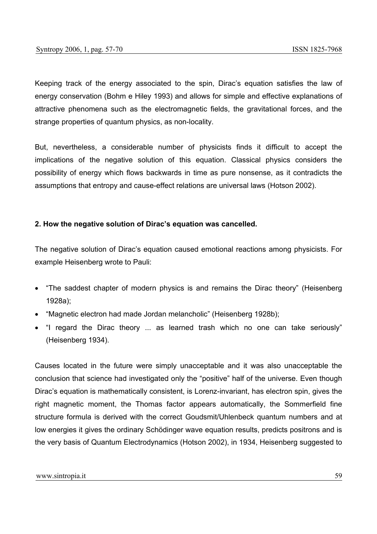Keeping track of the energy associated to the spin, Dirac's equation satisfies the law of energy conservation (Bohm e Hiley 1993) and allows for simple and effective explanations of attractive phenomena such as the electromagnetic fields, the gravitational forces, and the strange properties of quantum physics, as non-locality.

But, nevertheless, a considerable number of physicists finds it difficult to accept the implications of the negative solution of this equation. Classical physics considers the possibility of energy which flows backwards in time as pure nonsense, as it contradicts the assumptions that entropy and cause-effect relations are universal laws (Hotson 2002).

### **2. How the negative solution of Dirac's equation was cancelled.**

The negative solution of Dirac's equation caused emotional reactions among physicists. For example Heisenberg wrote to Pauli:

- "The saddest chapter of modern physics is and remains the Dirac theory" (Heisenberg 1928a);
- "Magnetic electron had made Jordan melancholic" (Heisenberg 1928b);
- "I regard the Dirac theory ... as learned trash which no one can take seriously" (Heisenberg 1934).

Causes located in the future were simply unacceptable and it was also unacceptable the conclusion that science had investigated only the "positive" half of the universe. Even though Dirac's equation is mathematically consistent, is Lorenz-invariant, has electron spin, gives the right magnetic moment, the Thomas factor appears automatically, the Sommerfield fine structure formula is derived with the correct Goudsmit/Uhlenbeck quantum numbers and at low energies it gives the ordinary Schödinger wave equation results, predicts positrons and is the very basis of Quantum Electrodynamics (Hotson 2002), in 1934, Heisenberg suggested to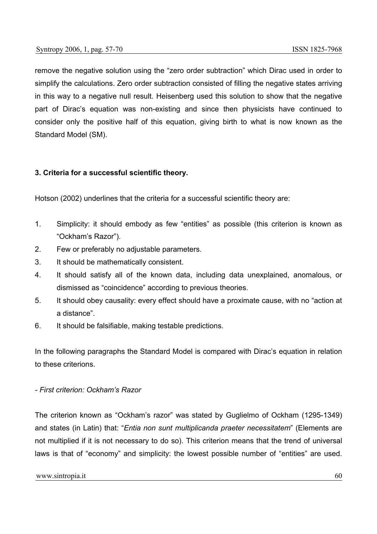remove the negative solution using the "zero order subtraction" which Dirac used in order to simplify the calculations. Zero order subtraction consisted of filling the negative states arriving in this way to a negative null result. Heisenberg used this solution to show that the negative part of Dirac's equation was non-existing and since then physicists have continued to consider only the positive half of this equation, giving birth to what is now known as the Standard Model (SM).

### **3. Criteria for a successful scientific theory.**

Hotson (2002) underlines that the criteria for a successful scientific theory are:

- 1. Simplicity: it should embody as few "entities" as possible (this criterion is known as "Ockham's Razor").
- 2. Few or preferably no adjustable parameters.
- 3. It should be mathematically consistent.
- 4. It should satisfy all of the known data, including data unexplained, anomalous, or dismissed as "coincidence" according to previous theories.
- 5. It should obey causality: every effect should have a proximate cause, with no "action at a distance".
- 6. It should be falsifiable, making testable predictions.

In the following paragraphs the Standard Model is compared with Dirac's equation in relation to these criterions.

#### *- First criterion: Ockham's Razor*

The criterion known as "Ockham's razor" was stated by Guglielmo of Ockham (1295-1349) and states (in Latin) that: "*Entia non sunt multiplicanda praeter necessitatem*" (Elements are not multiplied if it is not necessary to do so). This criterion means that the trend of universal laws is that of "economy" and simplicity: the lowest possible number of "entities" are used.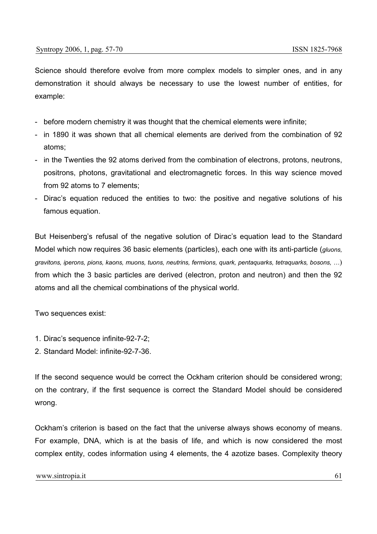Science should therefore evolve from more complex models to simpler ones, and in any demonstration it should always be necessary to use the lowest number of entities, for example:

- before modern chemistry it was thought that the chemical elements were infinite;
- in 1890 it was shown that all chemical elements are derived from the combination of 92 atoms;
- in the Twenties the 92 atoms derived from the combination of electrons, protons, neutrons, positrons, photons, gravitational and electromagnetic forces. In this way science moved from 92 atoms to 7 elements;
- Dirac's equation reduced the entities to two: the positive and negative solutions of his famous equation.

But Heisenberg's refusal of the negative solution of Dirac's equation lead to the Standard Model which now requires 36 basic elements (particles), each one with its anti-particle (*gluons, gravitons, iperons, pions, kaons, muons, tuons, neutrins, fermions, quark, pentaquarks, tetraquarks, bosons, …*) from which the 3 basic particles are derived (electron, proton and neutron) and then the 92 atoms and all the chemical combinations of the physical world.

Two sequences exist:

- 1. Dirac's sequence infinite-92-7-2;
- 2. Standard Model: infinite-92-7-36.

If the second sequence would be correct the Ockham criterion should be considered wrong; on the contrary, if the first sequence is correct the Standard Model should be considered wrong.

Ockham's criterion is based on the fact that the universe always shows economy of means. For example, DNA, which is at the basis of life, and which is now considered the most complex entity, codes information using 4 elements, the 4 azotize bases. Complexity theory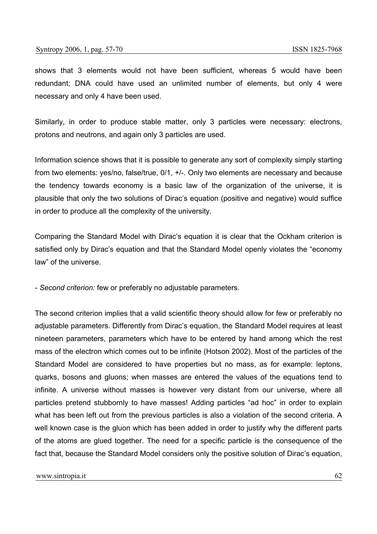shows that 3 elements would not have been sufficient, whereas 5 would have been redundant; DNA could have used an unlimited number of elements, but only 4 were necessary and only 4 have been used.

Similarly, in order to produce stable matter, only 3 particles were necessary: electrons, protons and neutrons, and again only 3 particles are used.

Information science shows that it is possible to generate any sort of complexity simply starting from two elements: yes/no, false/true, 0/1, +/-. Only two elements are necessary and because the tendency towards economy is a basic law of the organization of the universe, it is plausible that only the two solutions of Dirac's equation (positive and negative) would suffice in order to produce all the complexity of the university.

Comparing the Standard Model with Dirac's equation it is clear that the Ockham criterion is satisfied only by Dirac's equation and that the Standard Model openly violates the "economy law" of the universe.

*- Second criterion:* few or preferably no adjustable parameters*.* 

The second criterion implies that a valid scientific theory should allow for few or preferably no adjustable parameters. Differently from Dirac's equation, the Standard Model requires at least nineteen parameters, parameters which have to be entered by hand among which the rest mass of the electron which comes out to be infinite (Hotson 2002). Most of the particles of the Standard Model are considered to have properties but no mass, as for example: leptons, quarks, bosons and gluons; when masses are entered the values of the equations tend to infinite. A universe without masses is however very distant from our universe, where all particles pretend stubbornly to have masses! Adding particles "ad hoc" in order to explain what has been left out from the previous particles is also a violation of the second criteria. A well known case is the gluon which has been added in order to justify why the different parts of the atoms are glued together. The need for a specific particle is the consequence of the fact that, because the Standard Model considers only the positive solution of Dirac's equation,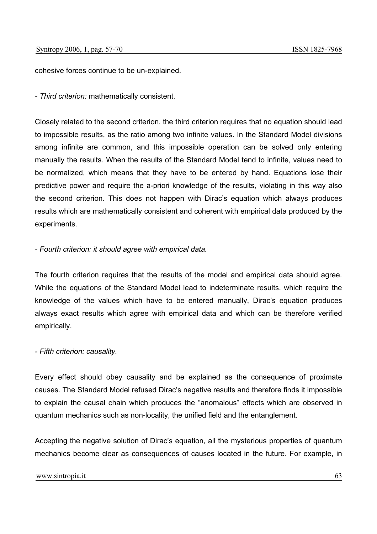cohesive forces continue to be un-explained.

*- Third criterion:* mathematically consistent*.* 

Closely related to the second criterion, the third criterion requires that no equation should lead to impossible results, as the ratio among two infinite values. In the Standard Model divisions among infinite are common, and this impossible operation can be solved only entering manually the results. When the results of the Standard Model tend to infinite, values need to be normalized, which means that they have to be entered by hand. Equations lose their predictive power and require the a-priori knowledge of the results, violating in this way also the second criterion. This does not happen with Dirac's equation which always produces results which are mathematically consistent and coherent with empirical data produced by the experiments.

### *- Fourth criterion: it should agree with empirical data.*

The fourth criterion requires that the results of the model and empirical data should agree. While the equations of the Standard Model lead to indeterminate results, which require the knowledge of the values which have to be entered manually, Dirac's equation produces always exact results which agree with empirical data and which can be therefore verified empirically.

### *- Fifth criterion: causality.*

Every effect should obey causality and be explained as the consequence of proximate causes. The Standard Model refused Dirac's negative results and therefore finds it impossible to explain the causal chain which produces the "anomalous" effects which are observed in quantum mechanics such as non-locality, the unified field and the entanglement.

Accepting the negative solution of Dirac's equation, all the mysterious properties of quantum mechanics become clear as consequences of causes located in the future. For example, in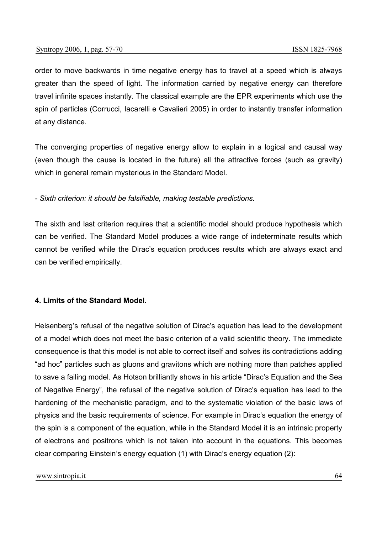order to move backwards in time negative energy has to travel at a speed which is always greater than the speed of light. The information carried by negative energy can therefore travel infinite spaces instantly. The classical example are the EPR experiments which use the spin of particles (Corrucci, Iacarelli e Cavalieri 2005) in order to instantly transfer information at any distance.

The converging properties of negative energy allow to explain in a logical and causal way (even though the cause is located in the future) all the attractive forces (such as gravity) which in general remain mysterious in the Standard Model.

*- Sixth criterion: it should be falsifiable, making testable predictions.* 

The sixth and last criterion requires that a scientific model should produce hypothesis which can be verified. The Standard Model produces a wide range of indeterminate results which cannot be verified while the Dirac's equation produces results which are always exact and can be verified empirically.

### **4. Limits of the Standard Model.**

Heisenberg's refusal of the negative solution of Dirac's equation has lead to the development of a model which does not meet the basic criterion of a valid scientific theory. The immediate consequence is that this model is not able to correct itself and solves its contradictions adding "ad hoc" particles such as gluons and gravitons which are nothing more than patches applied to save a failing model. As Hotson brilliantly shows in his article "Dirac's Equation and the Sea of Negative Energy", the refusal of the negative solution of Dirac's equation has lead to the hardening of the mechanistic paradigm, and to the systematic violation of the basic laws of physics and the basic requirements of science. For example in Dirac's equation the energy of the spin is a component of the equation, while in the Standard Model it is an intrinsic property of electrons and positrons which is not taken into account in the equations. This becomes clear comparing Einstein's energy equation (1) with Dirac's energy equation (2):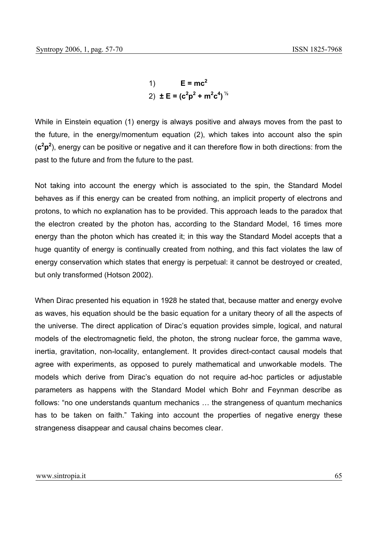1)  $E = mc^2$ 2)  $\pm E = (c^2p^2 + m^2c^4)^{1/2}$ 

While in Einstein equation (1) energy is always positive and always moves from the past to the future, in the energy/momentum equation (2), which takes into account also the spin (**c2 p2** ), energy can be positive or negative and it can therefore flow in both directions: from the past to the future and from the future to the past.

Not taking into account the energy which is associated to the spin, the Standard Model behaves as if this energy can be created from nothing, an implicit property of electrons and protons, to which no explanation has to be provided. This approach leads to the paradox that the electron created by the photon has, according to the Standard Model, 16 times more energy than the photon which has created it; in this way the Standard Model accepts that a huge quantity of energy is continually created from nothing, and this fact violates the law of energy conservation which states that energy is perpetual: it cannot be destroyed or created, but only transformed (Hotson 2002).

When Dirac presented his equation in 1928 he stated that, because matter and energy evolve as waves, his equation should be the basic equation for a unitary theory of all the aspects of the universe. The direct application of Dirac's equation provides simple, logical, and natural models of the electromagnetic field, the photon, the strong nuclear force, the gamma wave, inertia, gravitation, non-locality, entanglement. It provides direct-contact causal models that agree with experiments, as opposed to purely mathematical and unworkable models. The models which derive from Dirac's equation do not require ad-hoc particles or adjustable parameters as happens with the Standard Model which Bohr and Feynman describe as follows: "no one understands quantum mechanics … the strangeness of quantum mechanics has to be taken on faith." Taking into account the properties of negative energy these strangeness disappear and causal chains becomes clear.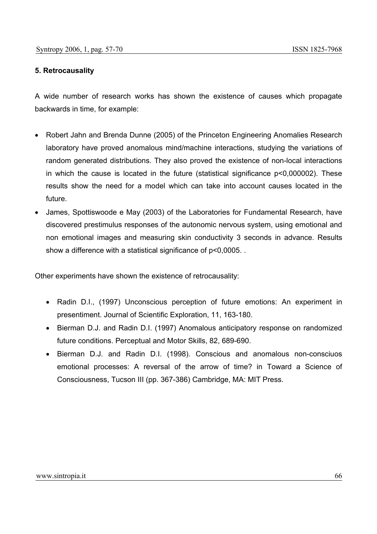### **5. Retrocausality**

A wide number of research works has shown the existence of causes which propagate backwards in time, for example:

- Robert Jahn and Brenda Dunne (2005) of the Princeton Engineering Anomalies Research laboratory have proved anomalous mind/machine interactions, studying the variations of random generated distributions. They also proved the existence of non-local interactions in which the cause is located in the future (statistical significance p<0,000002). These results show the need for a model which can take into account causes located in the future.
- James, Spottiswoode e May (2003) of the Laboratories for Fundamental Research, have discovered prestimulus responses of the autonomic nervous system, using emotional and non emotional images and measuring skin conductivity 3 seconds in advance. Results show a difference with a statistical significance of p<0,0005. .

Other experiments have shown the existence of retrocausality:

- Radin D.I., (1997) Unconscious perception of future emotions: An experiment in presentiment. Journal of Scientific Exploration, 11, 163-180.
- Bierman D.J. and Radin D.I. (1997) Anomalous anticipatory response on randomized future conditions. Perceptual and Motor Skills, 82, 689-690.
- Bierman D.J. and Radin D.I. (1998). Conscious and anomalous non-consciuos emotional processes: A reversal of the arrow of time? in Toward a Science of Consciousness, Tucson III (pp. 367-386) Cambridge, MA: MIT Press.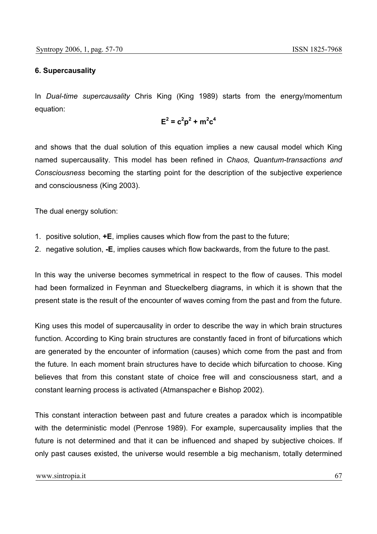## **6. Supercausality**

In *Dual-time supercausality* Chris King (King 1989) starts from the energy/momentum equation:

$$
\mathsf{E}^2 = \mathsf{c}^2 \mathsf{p}^2 + \mathsf{m}^2 \mathsf{c}^4
$$

and shows that the dual solution of this equation implies a new causal model which King named supercausality. This model has been refined in *Chaos, Quantum-transactions and Consciousness* becoming the starting point for the description of the subjective experience and consciousness (King 2003).

The dual energy solution:

- 1. positive solution, **+E**, implies causes which flow from the past to the future;
- 2. negative solution, **-E**, implies causes which flow backwards, from the future to the past.

In this way the universe becomes symmetrical in respect to the flow of causes. This model had been formalized in Feynman and Stueckelberg diagrams, in which it is shown that the present state is the result of the encounter of waves coming from the past and from the future.

King uses this model of supercausality in order to describe the way in which brain structures function. According to King brain structures are constantly faced in front of bifurcations which are generated by the encounter of information (causes) which come from the past and from the future. In each moment brain structures have to decide which bifurcation to choose. King believes that from this constant state of choice free will and consciousness start, and a constant learning process is activated (Atmanspacher e Bishop 2002).

This constant interaction between past and future creates a paradox which is incompatible with the deterministic model (Penrose 1989). For example, supercausality implies that the future is not determined and that it can be influenced and shaped by subjective choices. If only past causes existed, the universe would resemble a big mechanism, totally determined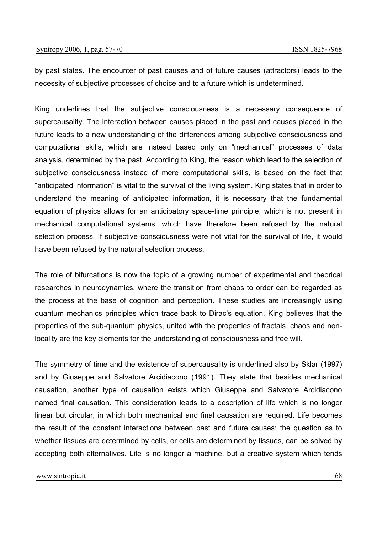by past states. The encounter of past causes and of future causes (attractors) leads to the necessity of subjective processes of choice and to a future which is undetermined.

King underlines that the subjective consciousness is a necessary consequence of supercausality. The interaction between causes placed in the past and causes placed in the future leads to a new understanding of the differences among subjective consciousness and computational skills, which are instead based only on "mechanical" processes of data analysis, determined by the past. According to King, the reason which lead to the selection of subjective consciousness instead of mere computational skills, is based on the fact that "anticipated information" is vital to the survival of the living system. King states that in order to understand the meaning of anticipated information, it is necessary that the fundamental equation of physics allows for an anticipatory space-time principle, which is not present in mechanical computational systems, which have therefore been refused by the natural selection process. If subjective consciousness were not vital for the survival of life, it would have been refused by the natural selection process.

The role of bifurcations is now the topic of a growing number of experimental and theorical researches in neurodynamics, where the transition from chaos to order can be regarded as the process at the base of cognition and perception. These studies are increasingly using quantum mechanics principles which trace back to Dirac's equation. King believes that the properties of the sub-quantum physics, united with the properties of fractals, chaos and nonlocality are the key elements for the understanding of consciousness and free will.

The symmetry of time and the existence of supercausality is underlined also by Sklar (1997) and by Giuseppe and Salvatore Arcidiacono (1991). They state that besides mechanical causation, another type of causation exists which Giuseppe and Salvatore Arcidiacono named final causation. This consideration leads to a description of life which is no longer linear but circular, in which both mechanical and final causation are required. Life becomes the result of the constant interactions between past and future causes: the question as to whether tissues are determined by cells, or cells are determined by tissues, can be solved by accepting both alternatives. Life is no longer a machine, but a creative system which tends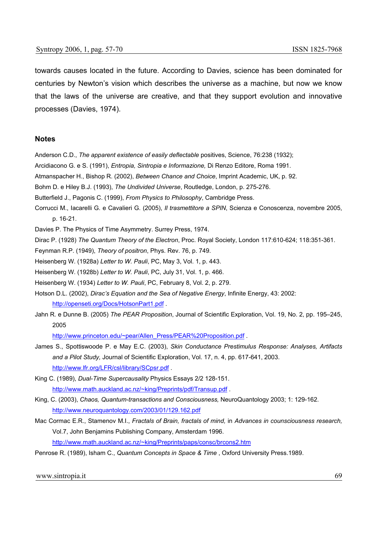towards causes located in the future. According to Davies, science has been dominated for centuries by Newton's vision which describes the universe as a machine, but now we know that the laws of the universe are creative, and that they support evolution and innovative processes (Davies, 1974).

#### **Notes**

- Anderson C.D., *The apparent existence of easily deflectable* positives, Science, 76:238 (1932);
- Arcidiacono G. e S. (1991), *Entropia, Sintropia e Informazione,* Di Renzo Editore, Roma 1991.
- Atmanspacher H., Bishop R. (2002), *Between Chance and Choice*, Imprint Academic, UK, p. 92.
- Bohm D. e Hiley B.J. (1993), *The Undivided Universe*, Routledge, London, p. 275-276.
- Butterfield J., Pagonis C. (1999), *From Physics to Philosophy*, Cambridge Press.
- Corrucci M., Iacarelli G. e Cavalieri G. (2005), *Il trasmettitore a SPIN*, Scienza e Conoscenza, novembre 2005, p. 16-21.

Davies P. The Physics of Time Asymmetry. Surrey Press, 1974.

Dirac P. (1928) *The Quantum Theory of the Electron*, Proc. Royal Society, London 117:610-624; 118:351-361.

Feynman R.P. (1949), *Theory of positron*, Phys. Rev. 76, p. 749.

Heisenberg W. (1928a) *Letter to W. Pauli*, PC, May 3, Vol. 1, p. 443.

Heisenberg W. (1928b) *Letter to W. Pauli*, PC, July 31, Vol. 1, p. 466.

Heisenberg W. (1934) *Letter to W. Pauli*, PC, February 8, Vol. 2, p. 279.

- Hotson D.L. (2002), *Dirac's Equation and the Sea of Negative Energy*, Infinite Energy, 43: 2002: http://openseti.org/Docs/HotsonPart1.pdf .
- Jahn R. e Dunne B. (2005) *The PEAR Proposition*, Journal of Scientific Exploration, Vol. 19, No. 2, pp. 195–245, 2005

http://www.princeton.edu/~pear/Allen\_Press/PEAR%20Proposition.pdf .

- James S., Spottiswoode P. e May E.C. (2003), *Skin Conductance Prestimulus Response: Analyses, Artifacts and a Pilot Study,* Journal of Scientific Exploration, Vol. 17, n. 4, pp. 617-641, 2003. http://www.lfr.org/LFR/csl/library/SCpsr.pdf .
- King C. (1989), *Dual-Time Supercausality* Physics Essays 2/2 128-151. http://www.math.auckland.ac.nz/~king/Preprints/pdf/Transup.pdf.
- King, C. (2003), *Chaos, Quantum-transactions and Consciousness,* NeuroQuantology 2003; 1: 129-162. http://www.neuroquantology.com/2003/01/129.162.pdf
- Mac Cormac E.R., Stamenov M.I., *Fractals of Brain, fractals of mind,* in *Advances in counsciousness research,*  Vol.7, John Benjamins Publishing Company, Amsterdam 1996. http://www.math.auckland.ac.nz/~king/Preprints/paps/consc/brcons2.htm
- Penrose R. (1989), Isham C., *Quantum Concepts in Space & Time* , Oxford University Press.1989.